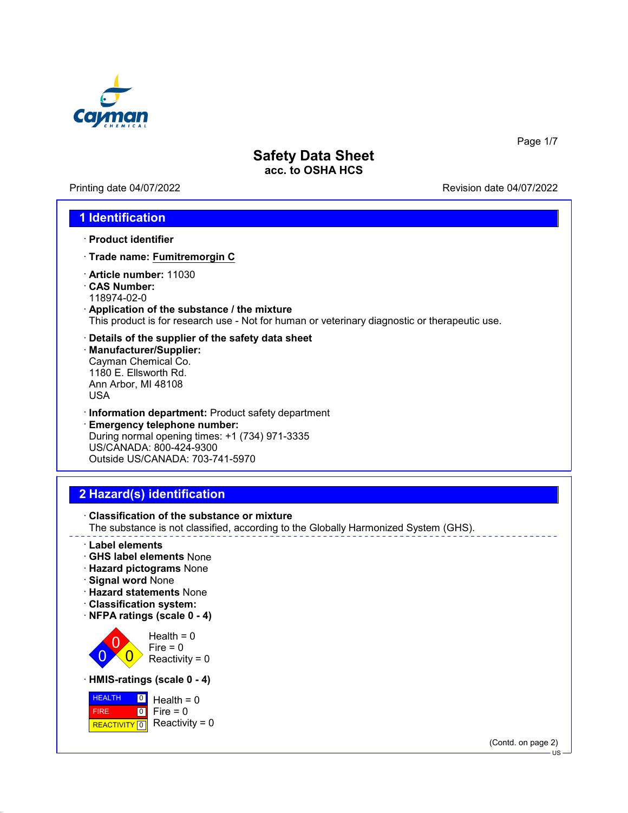

Printing date 04/07/2022 Revision date 04/07/2022

Page 1/7

### **1 Identification**

- · **Product identifier**
- · **Trade name: Fumitremorgin C**
- · **Article number:** 11030
- · **CAS Number:** 118974-02-0
- · **Application of the substance / the mixture** This product is for research use - Not for human or veterinary diagnostic or therapeutic use.
- · **Details of the supplier of the safety data sheet**
- · **Manufacturer/Supplier:** Cayman Chemical Co. 1180 E. Ellsworth Rd. Ann Arbor, MI 48108 USA
- · **Information department:** Product safety department · **Emergency telephone number:** During normal opening times: +1 (734) 971-3335 US/CANADA: 800-424-9300 Outside US/CANADA: 703-741-5970

## **2 Hazard(s) identification**

- · **Classification of the substance or mixture** The substance is not classified, according to the Globally Harmonized System (GHS). · **Label elements** · **GHS label elements** None · **Hazard pictograms** None · **Signal word** None · **Hazard statements** None · **Classification system:**
	- · **NFPA ratings (scale 0 4)**

0 0  $\overline{\mathbf{0}}$  $Health = 0$  $Fire = 0$ Reactivity  $= 0$ 

· **HMIS-ratings (scale 0 - 4)**



(Contd. on page 2)

US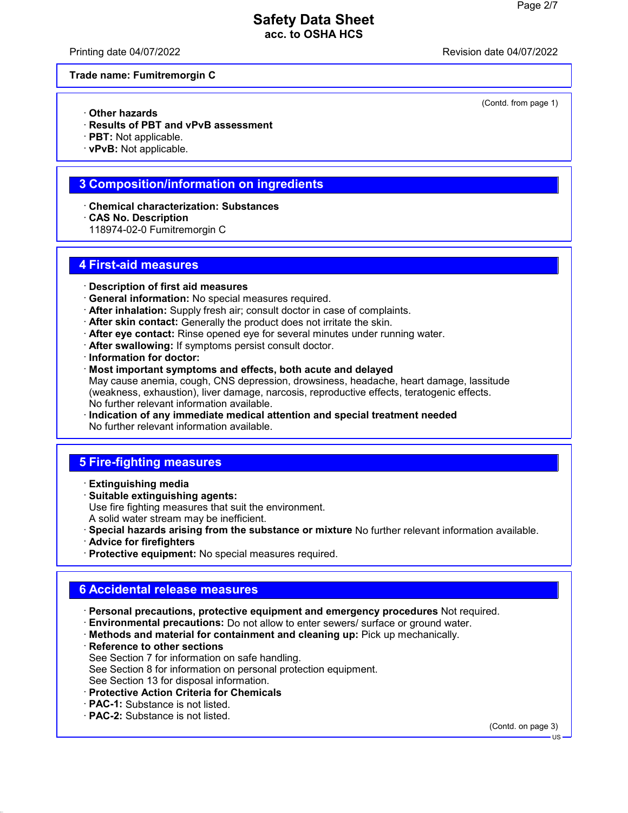Printing date 04/07/2022 Revision date 04/07/2022

(Contd. from page 1)

#### **Trade name: Fumitremorgin C**

- · **Other hazards**
- · **Results of PBT and vPvB assessment**
- · **PBT:** Not applicable.
- · **vPvB:** Not applicable.

### **3 Composition/information on ingredients**

- · **Chemical characterization: Substances**
- · **CAS No. Description**
- 118974-02-0 Fumitremorgin C

#### **4 First-aid measures**

- · **Description of first aid measures**
- · **General information:** No special measures required.
- · **After inhalation:** Supply fresh air; consult doctor in case of complaints.
- · **After skin contact:** Generally the product does not irritate the skin.
- · **After eye contact:** Rinse opened eye for several minutes under running water.
- · **After swallowing:** If symptoms persist consult doctor.
- · **Information for doctor:**
- · **Most important symptoms and effects, both acute and delayed** May cause anemia, cough, CNS depression, drowsiness, headache, heart damage, lassitude (weakness, exhaustion), liver damage, narcosis, reproductive effects, teratogenic effects. No further relevant information available.
- · **Indication of any immediate medical attention and special treatment needed** No further relevant information available.

## **5 Fire-fighting measures**

- · **Extinguishing media**
- · **Suitable extinguishing agents:** Use fire fighting measures that suit the environment. A solid water stream may be inefficient.
- · **Special hazards arising from the substance or mixture** No further relevant information available.
- · **Advice for firefighters**
- · **Protective equipment:** No special measures required.

## **6 Accidental release measures**

- · **Personal precautions, protective equipment and emergency procedures** Not required.
- · **Environmental precautions:** Do not allow to enter sewers/ surface or ground water.
- · **Methods and material for containment and cleaning up:** Pick up mechanically.
- · **Reference to other sections** See Section 7 for information on safe handling. See Section 8 for information on personal protection equipment. See Section 13 for disposal information.
- · **Protective Action Criteria for Chemicals**
- · **PAC-1:** Substance is not listed.
- · **PAC-2:** Substance is not listed.

(Contd. on page 3)

US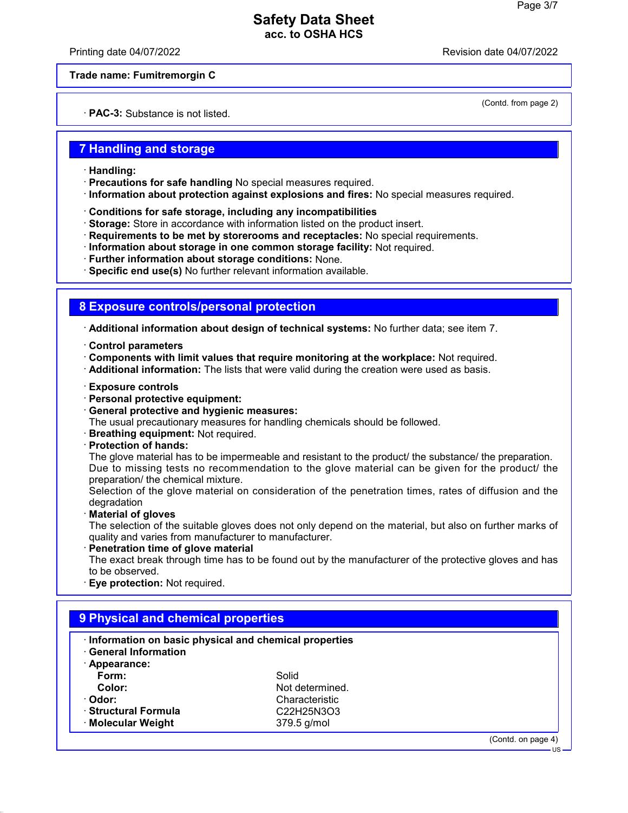Printing date 04/07/2022 Revision date 04/07/2022

(Contd. from page 2)

**Trade name: Fumitremorgin C**

· **PAC-3:** Substance is not listed.

#### **7 Handling and storage**

- · **Handling:**
- · **Precautions for safe handling** No special measures required.
- · **Information about protection against explosions and fires:** No special measures required.
- · **Conditions for safe storage, including any incompatibilities**
- · **Storage:** Store in accordance with information listed on the product insert.
- · **Requirements to be met by storerooms and receptacles:** No special requirements.
- · **Information about storage in one common storage facility:** Not required.
- · **Further information about storage conditions:** None.

· **Specific end use(s)** No further relevant information available.

## **8 Exposure controls/personal protection**

· **Additional information about design of technical systems:** No further data; see item 7.

- · **Control parameters**
- · **Components with limit values that require monitoring at the workplace:** Not required.
- · **Additional information:** The lists that were valid during the creation were used as basis.
- · **Exposure controls**
- · **Personal protective equipment:**
- · **General protective and hygienic measures:**

The usual precautionary measures for handling chemicals should be followed.

- · **Breathing equipment:** Not required.
- · **Protection of hands:**

The glove material has to be impermeable and resistant to the product/ the substance/ the preparation. Due to missing tests no recommendation to the glove material can be given for the product/ the preparation/ the chemical mixture.

Selection of the glove material on consideration of the penetration times, rates of diffusion and the degradation

· **Material of gloves**

The selection of the suitable gloves does not only depend on the material, but also on further marks of quality and varies from manufacturer to manufacturer.

· **Penetration time of glove material**

The exact break through time has to be found out by the manufacturer of the protective gloves and has to be observed.

· **Eye protection:** Not required.

| Information on basic physical and chemical properties<br><b>General Information</b> |                                                               |                    |
|-------------------------------------------------------------------------------------|---------------------------------------------------------------|--------------------|
| · Appearance:                                                                       |                                                               |                    |
| Form:                                                                               | Solid                                                         |                    |
| Color:                                                                              | Not determined.                                               |                    |
| · Odor:                                                                             | Characteristic                                                |                    |
| · Structural Formula                                                                | C <sub>22</sub> H <sub>25</sub> N <sub>3</sub> O <sub>3</sub> |                    |
| · Molecular Weight                                                                  | 379.5 g/mol                                                   |                    |
|                                                                                     |                                                               | (Contd. on page 4) |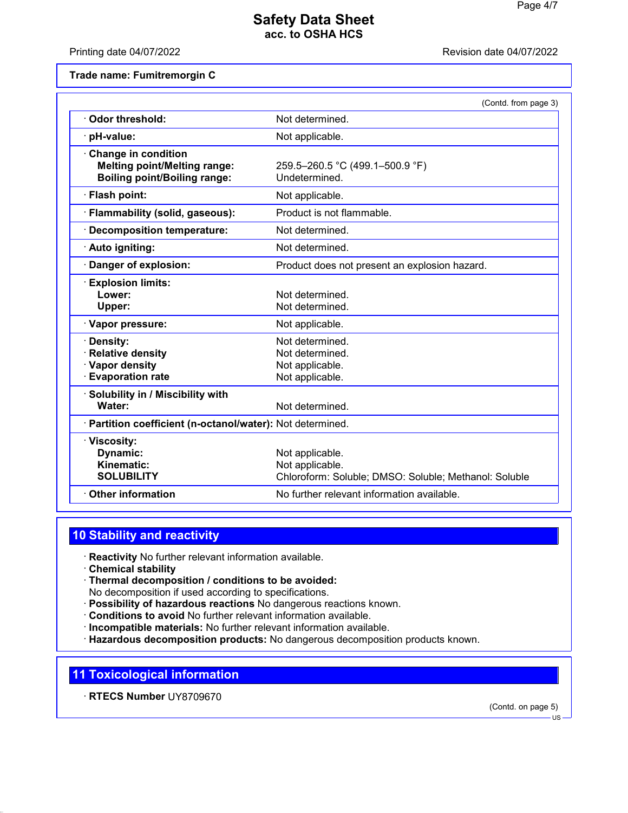Printing date 04/07/2022 Revision date 04/07/2022

**Trade name: Fumitremorgin C**

| Odor threshold:<br>Not determined.<br>pH-value:<br>Not applicable.<br><b>Change in condition</b><br><b>Melting point/Melting range:</b><br>259.5-260.5 °C (499.1-500.9 °F)<br><b>Boiling point/Boiling range:</b><br>Undetermined.<br>· Flash point:<br>Not applicable.<br>Product is not flammable.<br>· Flammability (solid, gaseous):<br>· Decomposition temperature:<br>Not determined.<br>Not determined.<br>· Auto igniting:<br>Danger of explosion:<br>Product does not present an explosion hazard.<br><b>Explosion limits:</b><br>Lower:<br>Not determined.<br>Not determined.<br>Upper:<br>· Vapor pressure:<br>Not applicable.<br>Not determined.<br>Density: | (Contd. from page 3) |
|--------------------------------------------------------------------------------------------------------------------------------------------------------------------------------------------------------------------------------------------------------------------------------------------------------------------------------------------------------------------------------------------------------------------------------------------------------------------------------------------------------------------------------------------------------------------------------------------------------------------------------------------------------------------------|----------------------|
|                                                                                                                                                                                                                                                                                                                                                                                                                                                                                                                                                                                                                                                                          |                      |
|                                                                                                                                                                                                                                                                                                                                                                                                                                                                                                                                                                                                                                                                          |                      |
|                                                                                                                                                                                                                                                                                                                                                                                                                                                                                                                                                                                                                                                                          |                      |
|                                                                                                                                                                                                                                                                                                                                                                                                                                                                                                                                                                                                                                                                          |                      |
|                                                                                                                                                                                                                                                                                                                                                                                                                                                                                                                                                                                                                                                                          |                      |
|                                                                                                                                                                                                                                                                                                                                                                                                                                                                                                                                                                                                                                                                          |                      |
|                                                                                                                                                                                                                                                                                                                                                                                                                                                                                                                                                                                                                                                                          |                      |
|                                                                                                                                                                                                                                                                                                                                                                                                                                                                                                                                                                                                                                                                          |                      |
|                                                                                                                                                                                                                                                                                                                                                                                                                                                                                                                                                                                                                                                                          |                      |
|                                                                                                                                                                                                                                                                                                                                                                                                                                                                                                                                                                                                                                                                          |                      |
| <b>Relative density</b><br>Not determined.<br>· Vapor density<br>Not applicable.<br><b>Evaporation rate</b><br>Not applicable.                                                                                                                                                                                                                                                                                                                                                                                                                                                                                                                                           |                      |
| · Solubility in / Miscibility with<br>Water:<br>Not determined.                                                                                                                                                                                                                                                                                                                                                                                                                                                                                                                                                                                                          |                      |
| · Partition coefficient (n-octanol/water): Not determined.                                                                                                                                                                                                                                                                                                                                                                                                                                                                                                                                                                                                               |                      |
| · Viscosity:<br>Dynamic:<br>Not applicable.<br>Kinematic:<br>Not applicable.<br><b>SOLUBILITY</b><br>Chloroform: Soluble; DMSO: Soluble; Methanol: Soluble                                                                                                                                                                                                                                                                                                                                                                                                                                                                                                               |                      |
| <b>Other information</b><br>No further relevant information available.                                                                                                                                                                                                                                                                                                                                                                                                                                                                                                                                                                                                   |                      |

## **10 Stability and reactivity**

- · **Reactivity** No further relevant information available.
- · **Chemical stability**
- · **Thermal decomposition / conditions to be avoided:** No decomposition if used according to specifications.
- · **Possibility of hazardous reactions** No dangerous reactions known.
- · **Conditions to avoid** No further relevant information available.
- · **Incompatible materials:** No further relevant information available.
- · **Hazardous decomposition products:** No dangerous decomposition products known.

## **11 Toxicological information**

· **RTECS Number** UY8709670

(Contd. on page 5)

<sup>-</sup> US -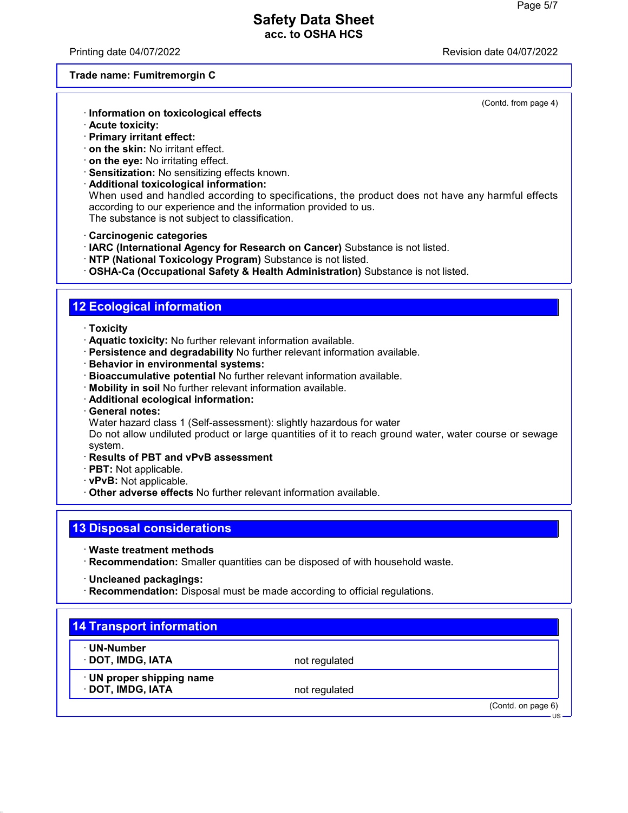Printing date 04/07/2022 Revision date 04/07/2022

#### **Trade name: Fumitremorgin C**

(Contd. from page 4)

- · **Information on toxicological effects**
- · **Acute toxicity:**
- · **Primary irritant effect:**
- · **on the skin:** No irritant effect.
- · **on the eye:** No irritating effect.
- · **Sensitization:** No sensitizing effects known.
- · **Additional toxicological information:** When used and handled according to specifications, the product does not have any harmful effects according to our experience and the information provided to us. The substance is not subject to classification.
- · **Carcinogenic categories**
- · **IARC (International Agency for Research on Cancer)** Substance is not listed.
- · **NTP (National Toxicology Program)** Substance is not listed.
- · **OSHA-Ca (Occupational Safety & Health Administration)** Substance is not listed.

## **12 Ecological information**

- · **Toxicity**
- · **Aquatic toxicity:** No further relevant information available.
- · **Persistence and degradability** No further relevant information available.
- · **Behavior in environmental systems:**
- · **Bioaccumulative potential** No further relevant information available.
- · **Mobility in soil** No further relevant information available.
- · **Additional ecological information:**
- · **General notes:**
- Water hazard class 1 (Self-assessment): slightly hazardous for water

Do not allow undiluted product or large quantities of it to reach ground water, water course or sewage system.

- · **Results of PBT and vPvB assessment**
- · **PBT:** Not applicable.
- · **vPvB:** Not applicable.
- · **Other adverse effects** No further relevant information available.

## **13 Disposal considerations**

- · **Waste treatment methods**
- · **Recommendation:** Smaller quantities can be disposed of with household waste.
- · **Uncleaned packagings:**
- · **Recommendation:** Disposal must be made according to official regulations.

| · UN-Number               |               |  |
|---------------------------|---------------|--|
| · DOT, IMDG, IATA         | not regulated |  |
| · UN proper shipping name |               |  |
| · DOT, IMDG, IATA         | not regulated |  |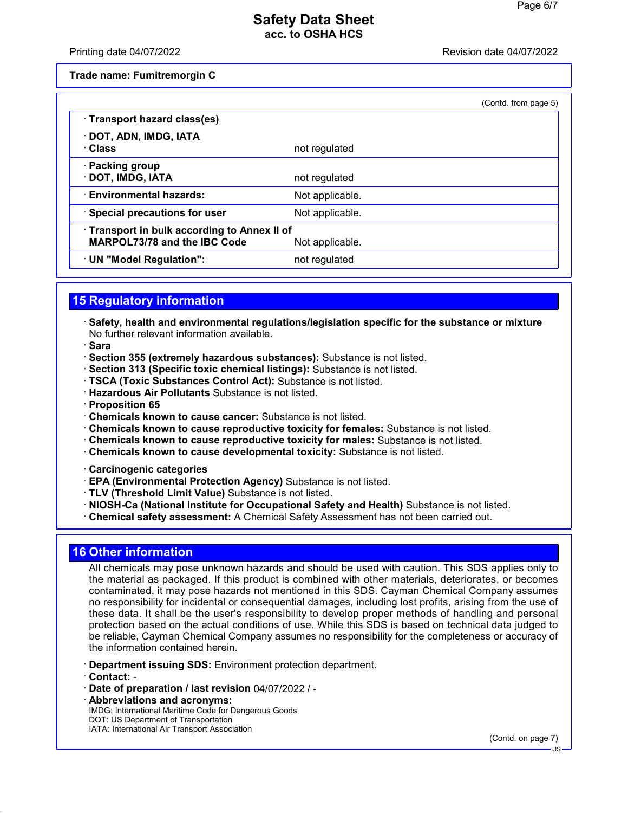#### Printing date 04/07/2022 Revision date 04/07/2022

**Trade name: Fumitremorgin C**

|                                                                                   |                 | (Contd. from page 5) |
|-----------------------------------------------------------------------------------|-----------------|----------------------|
| · Transport hazard class(es)                                                      |                 |                      |
| · DOT, ADN, IMDG, IATA<br>· Class                                                 | not regulated   |                      |
| · Packing group<br>· DOT, IMDG, IATA                                              | not regulated   |                      |
| <b>Environmental hazards:</b>                                                     | Not applicable. |                      |
| · Special precautions for user                                                    | Not applicable. |                      |
| Transport in bulk according to Annex II of<br><b>MARPOL73/78 and the IBC Code</b> | Not applicable. |                      |
| · UN "Model Regulation":                                                          | not regulated   |                      |

## **15 Regulatory information**

- · **Safety, health and environmental regulations/legislation specific for the substance or mixture** No further relevant information available.
- · **Sara**
- · **Section 355 (extremely hazardous substances):** Substance is not listed.
- · **Section 313 (Specific toxic chemical listings):** Substance is not listed.
- · **TSCA (Toxic Substances Control Act):** Substance is not listed.
- · **Hazardous Air Pollutants** Substance is not listed.
- · **Proposition 65**
- · **Chemicals known to cause cancer:** Substance is not listed.
- · **Chemicals known to cause reproductive toxicity for females:** Substance is not listed.
- · **Chemicals known to cause reproductive toxicity for males:** Substance is not listed.
- · **Chemicals known to cause developmental toxicity:** Substance is not listed.
- · **Carcinogenic categories**
- · **EPA (Environmental Protection Agency)** Substance is not listed.
- · **TLV (Threshold Limit Value)** Substance is not listed.
- · **NIOSH-Ca (National Institute for Occupational Safety and Health)** Substance is not listed.
- · **Chemical safety assessment:** A Chemical Safety Assessment has not been carried out.

## **16 Other information**

All chemicals may pose unknown hazards and should be used with caution. This SDS applies only to the material as packaged. If this product is combined with other materials, deteriorates, or becomes contaminated, it may pose hazards not mentioned in this SDS. Cayman Chemical Company assumes no responsibility for incidental or consequential damages, including lost profits, arising from the use of these data. It shall be the user's responsibility to develop proper methods of handling and personal protection based on the actual conditions of use. While this SDS is based on technical data judged to be reliable, Cayman Chemical Company assumes no responsibility for the completeness or accuracy of the information contained herein.

- · **Department issuing SDS:** Environment protection department.
- · **Contact:** -
- · **Date of preparation / last revision** 04/07/2022 / -
- · **Abbreviations and acronyms:** IMDG: International Maritime Code for Dangerous Goods DOT: US Department of Transportation IATA: International Air Transport Association

(Contd. on page 7)

US